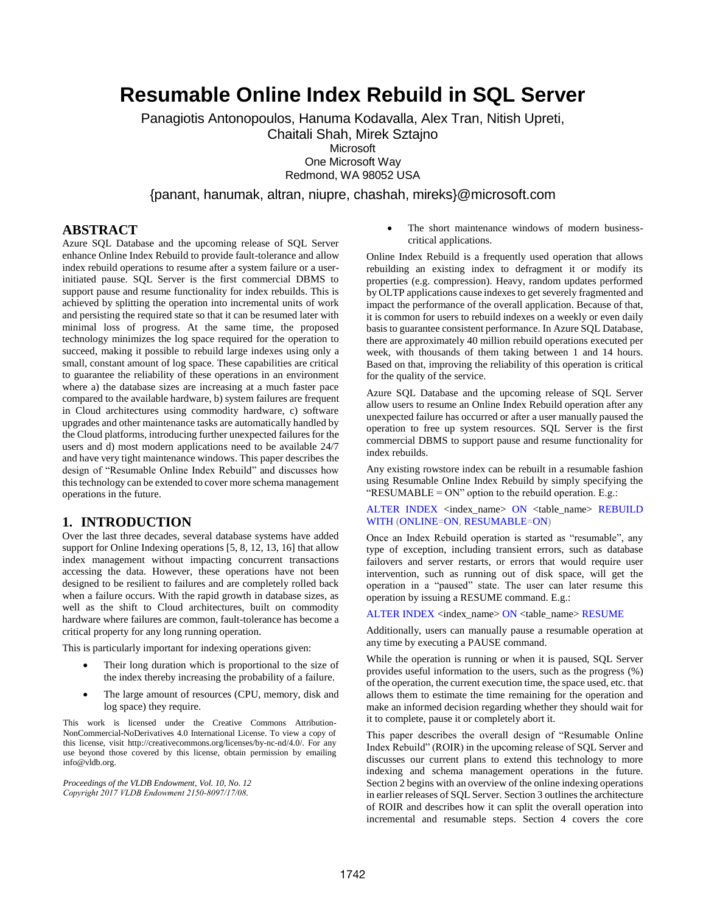# **Resumable Online Index Rebuild in SQL Server**

Panagiotis Antonopoulos, Hanuma Kodavalla, Alex Tran, Nitish Upreti,

Chaitali Shah, Mirek Sztajno

**Microsoft** 

One Microsoft Way

Redmond, WA 98052 USA

{panant, hanumak, altran, niupre, chashah, mireks}@microsoft.com

### **ABSTRACT**

Azure SQL Database and the upcoming release of SQL Server enhance Online Index Rebuild to provide fault-tolerance and allow index rebuild operations to resume after a system failure or a userinitiated pause. SQL Server is the first commercial DBMS to support pause and resume functionality for index rebuilds. This is achieved by splitting the operation into incremental units of work and persisting the required state so that it can be resumed later with minimal loss of progress. At the same time, the proposed technology minimizes the log space required for the operation to succeed, making it possible to rebuild large indexes using only a small, constant amount of log space. These capabilities are critical to guarantee the reliability of these operations in an environment where a) the database sizes are increasing at a much faster pace compared to the available hardware, b) system failures are frequent in Cloud architectures using commodity hardware, c) software upgrades and other maintenance tasks are automatically handled by the Cloud platforms, introducing further unexpected failures for the users and d) most modern applications need to be available 24/7 and have very tight maintenance windows. This paper describes the design of "Resumable Online Index Rebuild" and discusses how this technology can be extended to cover more schema management operations in the future.

### **1. INTRODUCTION**

Over the last three decades, several database systems have added support for Online Indexing operations [5, 8, 12, 13, 16] that allow index management without impacting concurrent transactions accessing the data. However, these operations have not been designed to be resilient to failures and are completely rolled back when a failure occurs. With the rapid growth in database sizes, as well as the shift to Cloud architectures, built on commodity hardware where failures are common, fault-tolerance has become a critical property for any long running operation.

This is particularly important for indexing operations given:

- Their long duration which is proportional to the size of the index thereby increasing the probability of a failure.
- The large amount of resources (CPU, memory, disk and log space) they require.

This work is licensed under the Creative Commons Attribution-NonCommercial-NoDerivatives 4.0 International License. To view a copy of this license, visit http://creativecommons.org/licenses/by-nc-nd/4.0/. For any use beyond those covered by this license, obtain permission by emailing info@vldb.org.

*Proceedings of the VLDB Endowment, Vol. 10, No. 12 Copyright 2017 VLDB Endowment 2150-8097/17/08.*

 The short maintenance windows of modern businesscritical applications.

Online Index Rebuild is a frequently used operation that allows rebuilding an existing index to defragment it or modify its properties (e.g. compression). Heavy, random updates performed by OLTP applications cause indexes to get severely fragmented and impact the performance of the overall application. Because of that, it is common for users to rebuild indexes on a weekly or even daily basis to guarantee consistent performance. In Azure SQL Database, there are approximately 40 million rebuild operations executed per week, with thousands of them taking between 1 and 14 hours. Based on that, improving the reliability of this operation is critical for the quality of the service.

Azure SQL Database and the upcoming release of SQL Server allow users to resume an Online Index Rebuild operation after any unexpected failure has occurred or after a user manually paused the operation to free up system resources. SQL Server is the first commercial DBMS to support pause and resume functionality for index rebuilds.

Any existing rowstore index can be rebuilt in a resumable fashion using Resumable Online Index Rebuild by simply specifying the "RESUMABLE =  $ON$ " option to the rebuild operation. E.g.:

ALTER INDEX <index\_name> ON <table\_name> REBUILD WITH (ONLINE=ON, RESUMABLE=ON)

Once an Index Rebuild operation is started as "resumable", any type of exception, including transient errors, such as database failovers and server restarts, or errors that would require user intervention, such as running out of disk space, will get the operation in a "paused" state. The user can later resume this operation by issuing a RESUME command. E.g.:

ALTER INDEX <index\_name> ON <table\_name> RESUME

Additionally, users can manually pause a resumable operation at any time by executing a PAUSE command.

While the operation is running or when it is paused, SQL Server provides useful information to the users, such as the progress (%) of the operation, the current execution time, the space used, etc. that allows them to estimate the time remaining for the operation and make an informed decision regarding whether they should wait for it to complete, pause it or completely abort it.

This paper describes the overall design of "Resumable Online Index Rebuild" (ROIR) in the upcoming release of SQL Server and discusses our current plans to extend this technology to more indexing and schema management operations in the future. Section 2 begins with an overview of the online indexing operations in earlier releases of SQL Server. Section 3 outlines the architecture of ROIR and describes how it can split the overall operation into incremental and resumable steps. Section 4 covers the core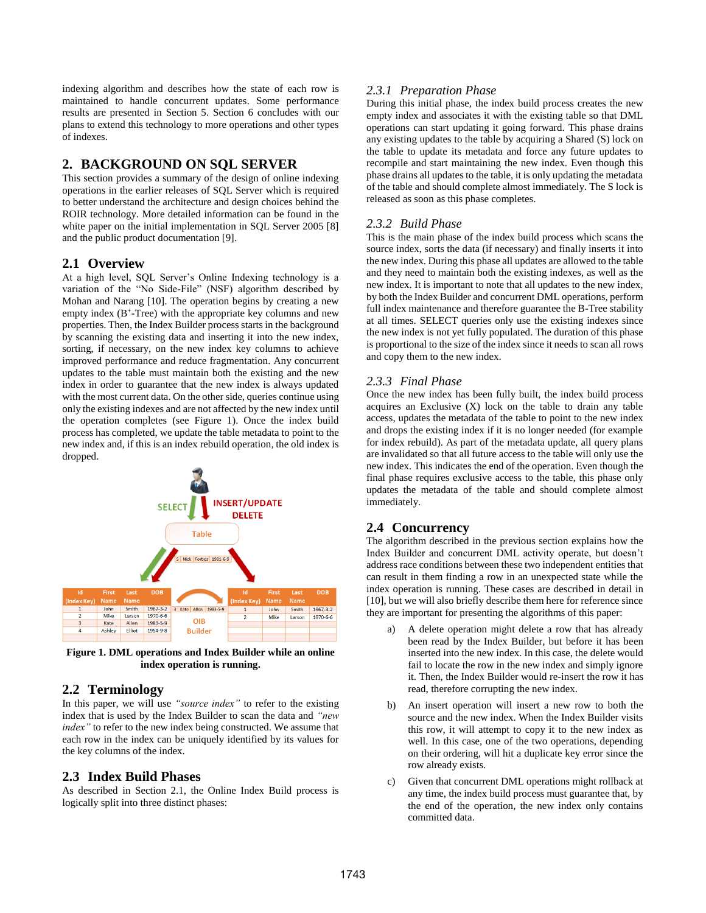indexing algorithm and describes how the state of each row is maintained to handle concurrent updates. Some performance results are presented in Section 5. Section 6 concludes with our plans to extend this technology to more operations and other types of indexes.

## **2. BACKGROUND ON SQL SERVER**

This section provides a summary of the design of online indexing operations in the earlier releases of SQL Server which is required to better understand the architecture and design choices behind the ROIR technology. More detailed information can be found in the white paper on the initial implementation in SQL Server 2005 [8] and the public product documentation [9].

### **2.1 Overview**

At a high level, SQL Server's Online Indexing technology is a variation of the "No Side-File" (NSF) algorithm described by Mohan and Narang [10]. The operation begins by creating a new empty index (B<sup>+</sup>-Tree) with the appropriate key columns and new properties. Then, the Index Builder process starts in the background by scanning the existing data and inserting it into the new index, sorting, if necessary, on the new index key columns to achieve improved performance and reduce fragmentation. Any concurrent updates to the table must maintain both the existing and the new index in order to guarantee that the new index is always updated with the most current data. On the other side, queries continue using only the existing indexes and are not affected by the new index until the operation completes (see Figure 1). Once the index build process has completed, we update the table metadata to point to the new index and, if this is an index rebuild operation, the old index is dropped.



**Figure 1. DML operations and Index Builder while an online index operation is running.**

### **2.2 Terminology**

In this paper, we will use *"source index"* to refer to the existing index that is used by the Index Builder to scan the data and *"new index*" to refer to the new index being constructed. We assume that each row in the index can be uniquely identified by its values for the key columns of the index.

### **2.3 Index Build Phases**

As described in Section 2.1, the Online Index Build process is logically split into three distinct phases:

### *2.3.1 Preparation Phase*

During this initial phase, the index build process creates the new empty index and associates it with the existing table so that DML operations can start updating it going forward. This phase drains any existing updates to the table by acquiring a Shared (S) lock on the table to update its metadata and force any future updates to recompile and start maintaining the new index. Even though this phase drains all updates to the table, it is only updating the metadata of the table and should complete almost immediately. The S lock is released as soon as this phase completes.

### *2.3.2 Build Phase*

This is the main phase of the index build process which scans the source index, sorts the data (if necessary) and finally inserts it into the new index. During this phase all updates are allowed to the table and they need to maintain both the existing indexes, as well as the new index. It is important to note that all updates to the new index, by both the Index Builder and concurrent DML operations, perform full index maintenance and therefore guarantee the B-Tree stability at all times. SELECT queries only use the existing indexes since the new index is not yet fully populated. The duration of this phase is proportional to the size of the index since it needs to scan all rows and copy them to the new index.

### *2.3.3 Final Phase*

Once the new index has been fully built, the index build process acquires an Exclusive  $(X)$  lock on the table to drain any table access, updates the metadata of the table to point to the new index and drops the existing index if it is no longer needed (for example for index rebuild). As part of the metadata update, all query plans are invalidated so that all future access to the table will only use the new index. This indicates the end of the operation. Even though the final phase requires exclusive access to the table, this phase only updates the metadata of the table and should complete almost immediately.

### **2.4 Concurrency**

The algorithm described in the previous section explains how the Index Builder and concurrent DML activity operate, but doesn't address race conditions between these two independent entities that can result in them finding a row in an unexpected state while the index operation is running. These cases are described in detail in [10], but we will also briefly describe them here for reference since they are important for presenting the algorithms of this paper:

- a) A delete operation might delete a row that has already been read by the Index Builder, but before it has been inserted into the new index. In this case, the delete would fail to locate the row in the new index and simply ignore it. Then, the Index Builder would re-insert the row it has read, therefore corrupting the new index.
- b) An insert operation will insert a new row to both the source and the new index. When the Index Builder visits this row, it will attempt to copy it to the new index as well. In this case, one of the two operations, depending on their ordering, will hit a duplicate key error since the row already exists.
- Given that concurrent DML operations might rollback at any time, the index build process must guarantee that, by the end of the operation, the new index only contains committed data.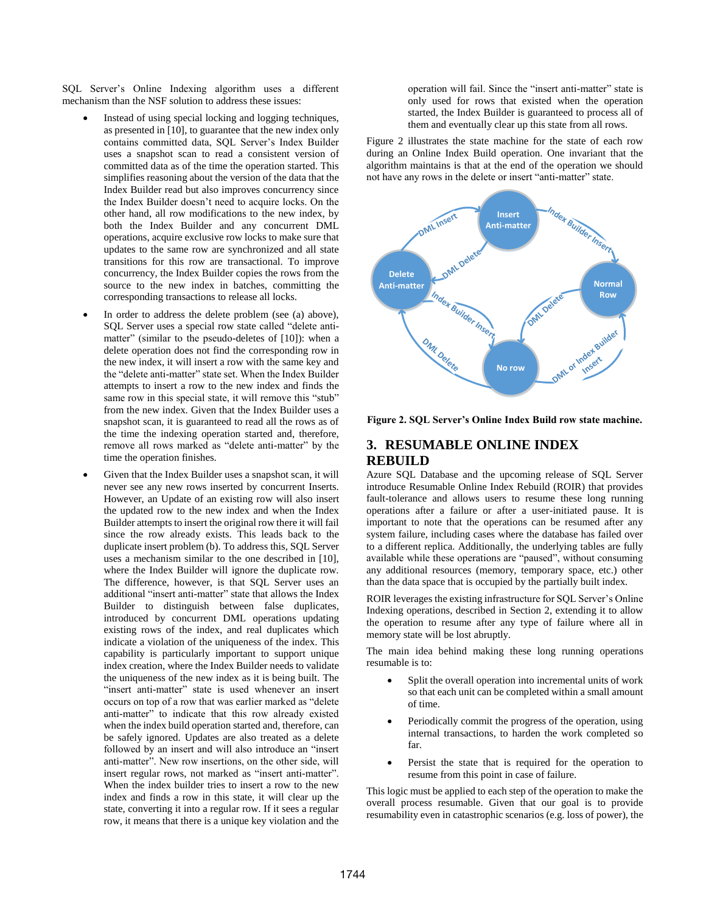SQL Server's Online Indexing algorithm uses a different mechanism than the NSF solution to address these issues:

- Instead of using special locking and logging techniques, as presented in [10], to guarantee that the new index only contains committed data, SQL Server's Index Builder uses a snapshot scan to read a consistent version of committed data as of the time the operation started. This simplifies reasoning about the version of the data that the Index Builder read but also improves concurrency since the Index Builder doesn't need to acquire locks. On the other hand, all row modifications to the new index, by both the Index Builder and any concurrent DML operations, acquire exclusive row locks to make sure that updates to the same row are synchronized and all state transitions for this row are transactional. To improve concurrency, the Index Builder copies the rows from the source to the new index in batches, committing the corresponding transactions to release all locks.
- In order to address the delete problem (see (a) above), SQL Server uses a special row state called "delete antimatter" (similar to the pseudo-deletes of [10]): when a delete operation does not find the corresponding row in the new index, it will insert a row with the same key and the "delete anti-matter" state set. When the Index Builder attempts to insert a row to the new index and finds the same row in this special state, it will remove this "stub" from the new index. Given that the Index Builder uses a snapshot scan, it is guaranteed to read all the rows as of the time the indexing operation started and, therefore, remove all rows marked as "delete anti-matter" by the time the operation finishes.
- Given that the Index Builder uses a snapshot scan, it will never see any new rows inserted by concurrent Inserts. However, an Update of an existing row will also insert the updated row to the new index and when the Index Builder attempts to insert the original row there it will fail since the row already exists. This leads back to the duplicate insert problem (b). To address this, SQL Server uses a mechanism similar to the one described in [10], where the Index Builder will ignore the duplicate row. The difference, however, is that SQL Server uses an additional "insert anti-matter" state that allows the Index Builder to distinguish between false duplicates, introduced by concurrent DML operations updating existing rows of the index, and real duplicates which indicate a violation of the uniqueness of the index. This capability is particularly important to support unique index creation, where the Index Builder needs to validate the uniqueness of the new index as it is being built. The "insert anti-matter" state is used whenever an insert occurs on top of a row that was earlier marked as "delete anti-matter" to indicate that this row already existed when the index build operation started and, therefore, can be safely ignored. Updates are also treated as a delete followed by an insert and will also introduce an "insert anti-matter". New row insertions, on the other side, will insert regular rows, not marked as "insert anti-matter". When the index builder tries to insert a row to the new index and finds a row in this state, it will clear up the state, converting it into a regular row. If it sees a regular row, it means that there is a unique key violation and the

operation will fail. Since the "insert anti-matter" state is only used for rows that existed when the operation started, the Index Builder is guaranteed to process all of them and eventually clear up this state from all rows.

Figure 2 illustrates the state machine for the state of each row during an Online Index Build operation. One invariant that the algorithm maintains is that at the end of the operation we should not have any rows in the delete or insert "anti-matter" state.



**Figure 2. SQL Server's Online Index Build row state machine.**

### **3. RESUMABLE ONLINE INDEX REBUILD**

Azure SQL Database and the upcoming release of SQL Server introduce Resumable Online Index Rebuild (ROIR) that provides fault-tolerance and allows users to resume these long running operations after a failure or after a user-initiated pause. It is important to note that the operations can be resumed after any system failure, including cases where the database has failed over to a different replica. Additionally, the underlying tables are fully available while these operations are "paused", without consuming any additional resources (memory, temporary space, etc.) other than the data space that is occupied by the partially built index.

ROIR leverages the existing infrastructure for SQL Server's Online Indexing operations, described in Section 2, extending it to allow the operation to resume after any type of failure where all in memory state will be lost abruptly.

The main idea behind making these long running operations resumable is to:

- Split the overall operation into incremental units of work so that each unit can be completed within a small amount of time.
- Periodically commit the progress of the operation, using internal transactions, to harden the work completed so far.
- Persist the state that is required for the operation to resume from this point in case of failure.

This logic must be applied to each step of the operation to make the overall process resumable. Given that our goal is to provide resumability even in catastrophic scenarios (e.g. loss of power), the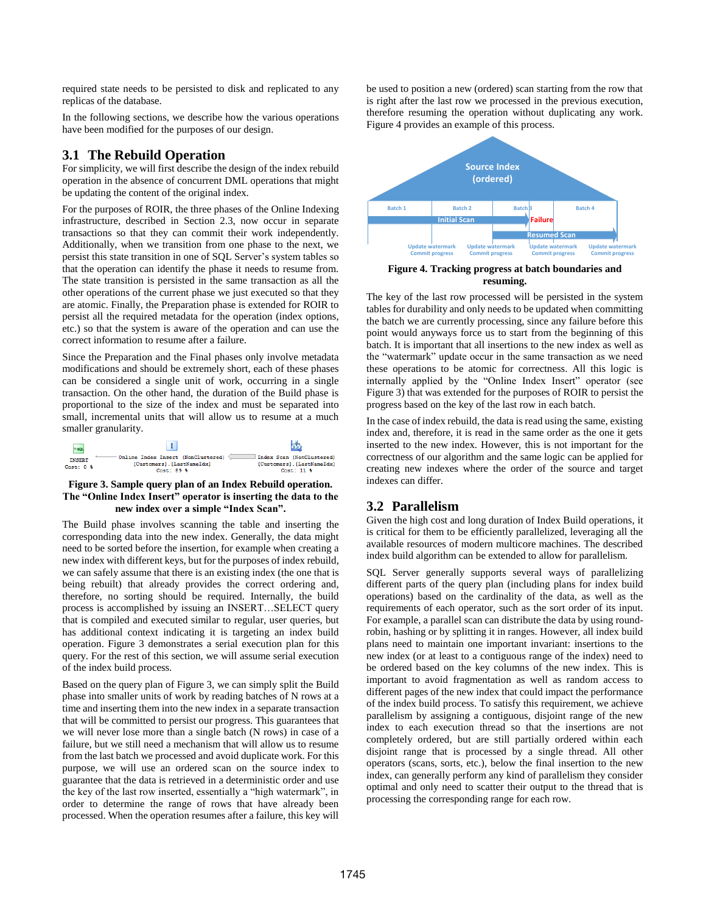required state needs to be persisted to disk and replicated to any replicas of the database.

In the following sections, we describe how the various operations have been modified for the purposes of our design.

# **3.1 The Rebuild Operation**

For simplicity, we will first describe the design of the index rebuild operation in the absence of concurrent DML operations that might be updating the content of the original index.

For the purposes of ROIR, the three phases of the Online Indexing infrastructure, described in Section 2.3, now occur in separate transactions so that they can commit their work independently. Additionally, when we transition from one phase to the next, we persist this state transition in one of SQL Server's system tables so that the operation can identify the phase it needs to resume from. The state transition is persisted in the same transaction as all the other operations of the current phase we just executed so that they are atomic. Finally, the Preparation phase is extended for ROIR to persist all the required metadata for the operation (index options, etc.) so that the system is aware of the operation and can use the correct information to resume after a failure.

Since the Preparation and the Final phases only involve metadata modifications and should be extremely short, each of these phases can be considered a single unit of work, occurring in a single transaction. On the other hand, the duration of the Build phase is proportional to the size of the index and must be separated into small, incremental units that will allow us to resume at a much smaller granularity.

| $T-SQL$                    |                                    |                           |            |                          |
|----------------------------|------------------------------------|---------------------------|------------|--------------------------|
| <b>INSERT</b><br>Cost: 0.9 | Online Index Insert (NonClustered) |                           |            | Index Scan (NonClustered |
|                            | [Customers]. [LastNameIdx]         | [Customers]. [LastNameIdx |            |                          |
|                            | Cost: 89 &                         |                           | Cost: 11.3 |                          |

#### **Figure 3. Sample query plan of an Index Rebuild operation. The "Online Index Insert" operator is inserting the data to the new index over a simple "Index Scan".**

The Build phase involves scanning the table and inserting the corresponding data into the new index. Generally, the data might need to be sorted before the insertion, for example when creating a new index with different keys, but for the purposes of index rebuild, we can safely assume that there is an existing index (the one that is being rebuilt) that already provides the correct ordering and, therefore, no sorting should be required. Internally, the build process is accomplished by issuing an INSERT…SELECT query that is compiled and executed similar to regular, user queries, but has additional context indicating it is targeting an index build operation. Figure 3 demonstrates a serial execution plan for this query. For the rest of this section, we will assume serial execution of the index build process.

Based on the query plan of Figure 3, we can simply split the Build phase into smaller units of work by reading batches of N rows at a time and inserting them into the new index in a separate transaction that will be committed to persist our progress. This guarantees that we will never lose more than a single batch (N rows) in case of a failure, but we still need a mechanism that will allow us to resume from the last batch we processed and avoid duplicate work. For this purpose, we will use an ordered scan on the source index to guarantee that the data is retrieved in a deterministic order and use the key of the last row inserted, essentially a "high watermark", in order to determine the range of rows that have already been processed. When the operation resumes after a failure, this key will

be used to position a new (ordered) scan starting from the row that is right after the last row we processed in the previous execution, therefore resuming the operation without duplicating any work. Figure 4 provides an example of this process.



#### **Figure 4. Tracking progress at batch boundaries and resuming.**

The key of the last row processed will be persisted in the system tables for durability and only needs to be updated when committing the batch we are currently processing, since any failure before this point would anyways force us to start from the beginning of this batch. It is important that all insertions to the new index as well as the "watermark" update occur in the same transaction as we need these operations to be atomic for correctness. All this logic is internally applied by the "Online Index Insert" operator (see Figure 3) that was extended for the purposes of ROIR to persist the progress based on the key of the last row in each batch.

In the case of index rebuild, the data is read using the same, existing index and, therefore, it is read in the same order as the one it gets inserted to the new index. However, this is not important for the correctness of our algorithm and the same logic can be applied for creating new indexes where the order of the source and target indexes can differ.

# **3.2 Parallelism**

Given the high cost and long duration of Index Build operations, it is critical for them to be efficiently parallelized, leveraging all the available resources of modern multicore machines. The described index build algorithm can be extended to allow for parallelism.

SQL Server generally supports several ways of parallelizing different parts of the query plan (including plans for index build operations) based on the cardinality of the data, as well as the requirements of each operator, such as the sort order of its input. For example, a parallel scan can distribute the data by using roundrobin, hashing or by splitting it in ranges. However, all index build plans need to maintain one important invariant: insertions to the new index (or at least to a contiguous range of the index) need to be ordered based on the key columns of the new index. This is important to avoid fragmentation as well as random access to different pages of the new index that could impact the performance of the index build process. To satisfy this requirement, we achieve parallelism by assigning a contiguous, disjoint range of the new index to each execution thread so that the insertions are not completely ordered, but are still partially ordered within each disjoint range that is processed by a single thread. All other operators (scans, sorts, etc.), below the final insertion to the new index, can generally perform any kind of parallelism they consider optimal and only need to scatter their output to the thread that is processing the corresponding range for each row.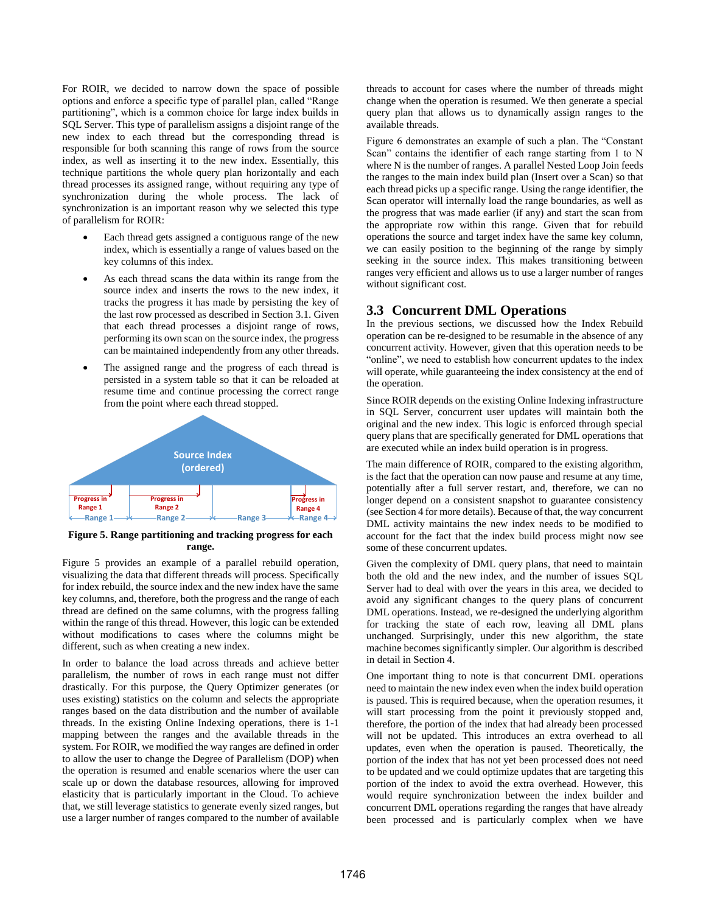For ROIR, we decided to narrow down the space of possible options and enforce a specific type of parallel plan, called "Range partitioning", which is a common choice for large index builds in SQL Server. This type of parallelism assigns a disjoint range of the new index to each thread but the corresponding thread is responsible for both scanning this range of rows from the source index, as well as inserting it to the new index. Essentially, this technique partitions the whole query plan horizontally and each thread processes its assigned range, without requiring any type of synchronization during the whole process. The lack of synchronization is an important reason why we selected this type of parallelism for ROIR:

- Each thread gets assigned a contiguous range of the new index, which is essentially a range of values based on the key columns of this index.
- As each thread scans the data within its range from the source index and inserts the rows to the new index, it tracks the progress it has made by persisting the key of the last row processed as described in Section 3.1. Given that each thread processes a disjoint range of rows, performing its own scan on the source index, the progress can be maintained independently from any other threads.
- The assigned range and the progress of each thread is persisted in a system table so that it can be reloaded at resume time and continue processing the correct range from the point where each thread stopped.



**Figure 5. Range partitioning and tracking progress for each range.** 

Figure 5 provides an example of a parallel rebuild operation, visualizing the data that different threads will process. Specifically for index rebuild, the source index and the new index have the same key columns, and, therefore, both the progress and the range of each thread are defined on the same columns, with the progress falling within the range of this thread. However, this logic can be extended without modifications to cases where the columns might be different, such as when creating a new index.

In order to balance the load across threads and achieve better parallelism, the number of rows in each range must not differ drastically. For this purpose, the Query Optimizer generates (or uses existing) statistics on the column and selects the appropriate ranges based on the data distribution and the number of available threads. In the existing Online Indexing operations, there is 1-1 mapping between the ranges and the available threads in the system. For ROIR, we modified the way ranges are defined in order to allow the user to change the Degree of Parallelism (DOP) when the operation is resumed and enable scenarios where the user can scale up or down the database resources, allowing for improved elasticity that is particularly important in the Cloud. To achieve that, we still leverage statistics to generate evenly sized ranges, but use a larger number of ranges compared to the number of available threads to account for cases where the number of threads might change when the operation is resumed. We then generate a special query plan that allows us to dynamically assign ranges to the available threads.

Figure 6 demonstrates an example of such a plan. The "Constant Scan" contains the identifier of each range starting from 1 to N where N is the number of ranges. A parallel Nested Loop Join feeds the ranges to the main index build plan (Insert over a Scan) so that each thread picks up a specific range. Using the range identifier, the Scan operator will internally load the range boundaries, as well as the progress that was made earlier (if any) and start the scan from the appropriate row within this range. Given that for rebuild operations the source and target index have the same key column, we can easily position to the beginning of the range by simply seeking in the source index. This makes transitioning between ranges very efficient and allows us to use a larger number of ranges without significant cost.

# **3.3 Concurrent DML Operations**

In the previous sections, we discussed how the Index Rebuild operation can be re-designed to be resumable in the absence of any concurrent activity. However, given that this operation needs to be "online", we need to establish how concurrent updates to the index will operate, while guaranteeing the index consistency at the end of the operation.

Since ROIR depends on the existing Online Indexing infrastructure in SQL Server, concurrent user updates will maintain both the original and the new index. This logic is enforced through special query plans that are specifically generated for DML operations that are executed while an index build operation is in progress.

The main difference of ROIR, compared to the existing algorithm, is the fact that the operation can now pause and resume at any time, potentially after a full server restart, and, therefore, we can no longer depend on a consistent snapshot to guarantee consistency (see Section 4 for more details). Because of that, the way concurrent DML activity maintains the new index needs to be modified to account for the fact that the index build process might now see some of these concurrent updates.

Given the complexity of DML query plans, that need to maintain both the old and the new index, and the number of issues SQL Server had to deal with over the years in this area, we decided to avoid any significant changes to the query plans of concurrent DML operations. Instead, we re-designed the underlying algorithm for tracking the state of each row, leaving all DML plans unchanged. Surprisingly, under this new algorithm, the state machine becomes significantly simpler. Our algorithm is described in detail in Section 4.

One important thing to note is that concurrent DML operations need to maintain the new index even when the index build operation is paused. This is required because, when the operation resumes, it will start processing from the point it previously stopped and, therefore, the portion of the index that had already been processed will not be updated. This introduces an extra overhead to all updates, even when the operation is paused. Theoretically, the portion of the index that has not yet been processed does not need to be updated and we could optimize updates that are targeting this portion of the index to avoid the extra overhead. However, this would require synchronization between the index builder and concurrent DML operations regarding the ranges that have already been processed and is particularly complex when we have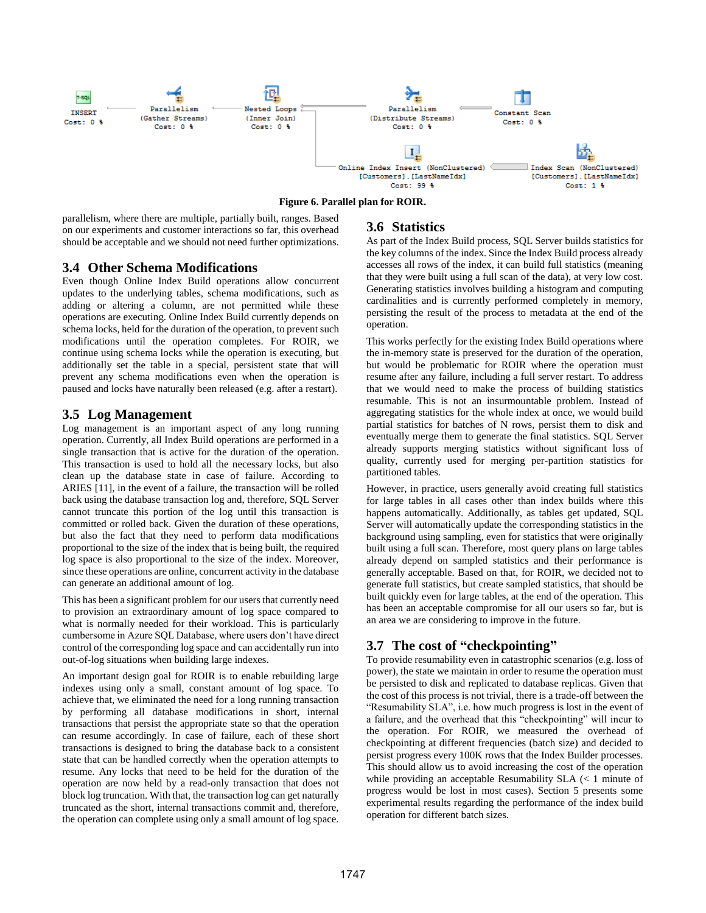

**Figure 6. Parallel plan for ROIR.**

parallelism, where there are multiple, partially built, ranges. Based on our experiments and customer interactions so far, this overhead should be acceptable and we should not need further optimizations.

### **3.4 Other Schema Modifications**

Even though Online Index Build operations allow concurrent updates to the underlying tables, schema modifications, such as adding or altering a column, are not permitted while these operations are executing. Online Index Build currently depends on schema locks, held for the duration of the operation, to prevent such modifications until the operation completes. For ROIR, we continue using schema locks while the operation is executing, but additionally set the table in a special, persistent state that will prevent any schema modifications even when the operation is paused and locks have naturally been released (e.g. after a restart).

### **3.5 Log Management**

Log management is an important aspect of any long running operation. Currently, all Index Build operations are performed in a single transaction that is active for the duration of the operation. This transaction is used to hold all the necessary locks, but also clean up the database state in case of failure. According to ARIES [11], in the event of a failure, the transaction will be rolled back using the database transaction log and, therefore, SQL Server cannot truncate this portion of the log until this transaction is committed or rolled back. Given the duration of these operations, but also the fact that they need to perform data modifications proportional to the size of the index that is being built, the required log space is also proportional to the size of the index. Moreover, since these operations are online, concurrent activity in the database can generate an additional amount of log.

This has been a significant problem for our users that currently need to provision an extraordinary amount of log space compared to what is normally needed for their workload. This is particularly cumbersome in Azure SQL Database, where users don't have direct control of the corresponding log space and can accidentally run into out-of-log situations when building large indexes.

An important design goal for ROIR is to enable rebuilding large indexes using only a small, constant amount of log space. To achieve that, we eliminated the need for a long running transaction by performing all database modifications in short, internal transactions that persist the appropriate state so that the operation can resume accordingly. In case of failure, each of these short transactions is designed to bring the database back to a consistent state that can be handled correctly when the operation attempts to resume. Any locks that need to be held for the duration of the operation are now held by a read-only transaction that does not block log truncation. With that, the transaction log can get naturally truncated as the short, internal transactions commit and, therefore, the operation can complete using only a small amount of log space.

## **3.6 Statistics**

As part of the Index Build process, SQL Server builds statistics for the key columns of the index. Since the Index Build process already accesses all rows of the index, it can build full statistics (meaning that they were built using a full scan of the data), at very low cost. Generating statistics involves building a histogram and computing cardinalities and is currently performed completely in memory, persisting the result of the process to metadata at the end of the operation.

This works perfectly for the existing Index Build operations where the in-memory state is preserved for the duration of the operation, but would be problematic for ROIR where the operation must resume after any failure, including a full server restart. To address that we would need to make the process of building statistics resumable. This is not an insurmountable problem. Instead of aggregating statistics for the whole index at once, we would build partial statistics for batches of N rows, persist them to disk and eventually merge them to generate the final statistics. SQL Server already supports merging statistics without significant loss of quality, currently used for merging per-partition statistics for partitioned tables.

However, in practice, users generally avoid creating full statistics for large tables in all cases other than index builds where this happens automatically. Additionally, as tables get updated, SQL Server will automatically update the corresponding statistics in the background using sampling, even for statistics that were originally built using a full scan. Therefore, most query plans on large tables already depend on sampled statistics and their performance is generally acceptable. Based on that, for ROIR, we decided not to generate full statistics, but create sampled statistics, that should be built quickly even for large tables, at the end of the operation. This has been an acceptable compromise for all our users so far, but is an area we are considering to improve in the future.

# **3.7 The cost of "checkpointing"**

To provide resumability even in catastrophic scenarios (e.g. loss of power), the state we maintain in order to resume the operation must be persisted to disk and replicated to database replicas. Given that the cost of this process is not trivial, there is a trade-off between the "Resumability SLA", i.e. how much progress is lost in the event of a failure, and the overhead that this "checkpointing" will incur to the operation. For ROIR, we measured the overhead of checkpointing at different frequencies (batch size) and decided to persist progress every 100K rows that the Index Builder processes. This should allow us to avoid increasing the cost of the operation while providing an acceptable Resumability SLA  $\lt$  1 minute of progress would be lost in most cases). Section 5 presents some experimental results regarding the performance of the index build operation for different batch sizes.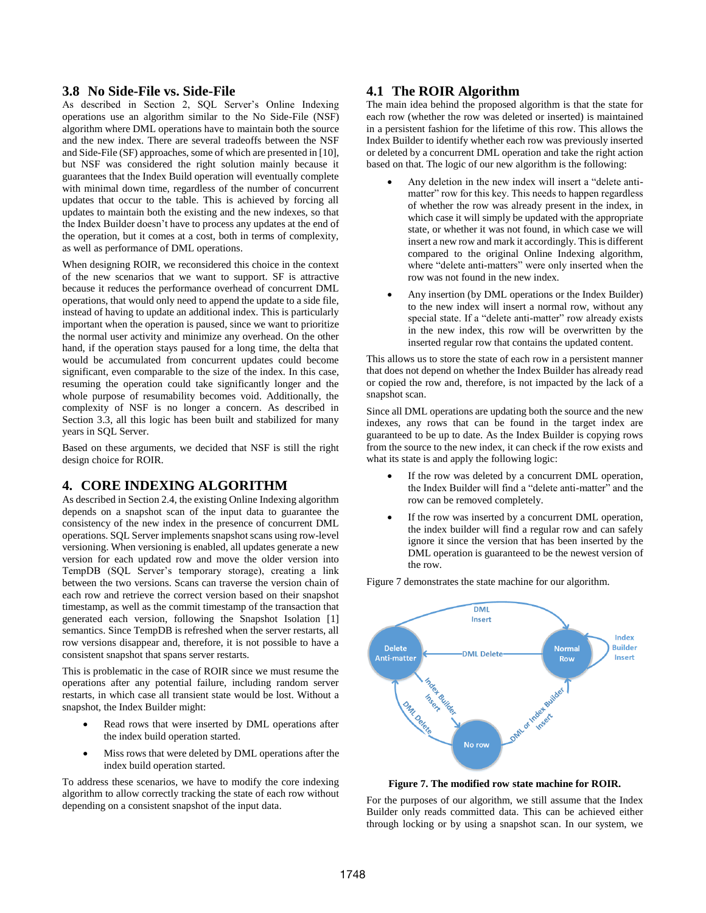### **3.8 No Side-File vs. Side-File**

As described in Section 2, SQL Server's Online Indexing operations use an algorithm similar to the No Side-File (NSF) algorithm where DML operations have to maintain both the source and the new index. There are several tradeoffs between the NSF and Side-File (SF) approaches, some of which are presented in [10], but NSF was considered the right solution mainly because it guarantees that the Index Build operation will eventually complete with minimal down time, regardless of the number of concurrent updates that occur to the table. This is achieved by forcing all updates to maintain both the existing and the new indexes, so that the Index Builder doesn't have to process any updates at the end of the operation, but it comes at a cost, both in terms of complexity, as well as performance of DML operations.

When designing ROIR, we reconsidered this choice in the context of the new scenarios that we want to support. SF is attractive because it reduces the performance overhead of concurrent DML operations, that would only need to append the update to a side file, instead of having to update an additional index. This is particularly important when the operation is paused, since we want to prioritize the normal user activity and minimize any overhead. On the other hand, if the operation stays paused for a long time, the delta that would be accumulated from concurrent updates could become significant, even comparable to the size of the index. In this case, resuming the operation could take significantly longer and the whole purpose of resumability becomes void. Additionally, the complexity of NSF is no longer a concern. As described in Section 3.3, all this logic has been built and stabilized for many years in SQL Server.

Based on these arguments, we decided that NSF is still the right design choice for ROIR.

### **4. CORE INDEXING ALGORITHM**

As described in Section 2.4, the existing Online Indexing algorithm depends on a snapshot scan of the input data to guarantee the consistency of the new index in the presence of concurrent DML operations. SQL Server implements snapshot scans using row-level versioning. When versioning is enabled, all updates generate a new version for each updated row and move the older version into TempDB (SQL Server's temporary storage), creating a link between the two versions. Scans can traverse the version chain of each row and retrieve the correct version based on their snapshot timestamp, as well as the commit timestamp of the transaction that generated each version, following the Snapshot Isolation [1] semantics. Since TempDB is refreshed when the server restarts, all row versions disappear and, therefore, it is not possible to have a consistent snapshot that spans server restarts.

This is problematic in the case of ROIR since we must resume the operations after any potential failure, including random server restarts, in which case all transient state would be lost. Without a snapshot, the Index Builder might:

- Read rows that were inserted by DML operations after the index build operation started.
- Miss rows that were deleted by DML operations after the index build operation started.

To address these scenarios, we have to modify the core indexing algorithm to allow correctly tracking the state of each row without depending on a consistent snapshot of the input data.

### **4.1 The ROIR Algorithm**

The main idea behind the proposed algorithm is that the state for each row (whether the row was deleted or inserted) is maintained in a persistent fashion for the lifetime of this row. This allows the Index Builder to identify whether each row was previously inserted or deleted by a concurrent DML operation and take the right action based on that. The logic of our new algorithm is the following:

- Any deletion in the new index will insert a "delete antimatter" row for this key. This needs to happen regardless of whether the row was already present in the index, in which case it will simply be updated with the appropriate state, or whether it was not found, in which case we will insert a new row and mark it accordingly. This is different compared to the original Online Indexing algorithm, where "delete anti-matters" were only inserted when the row was not found in the new index.
- Any insertion (by DML operations or the Index Builder) to the new index will insert a normal row, without any special state. If a "delete anti-matter" row already exists in the new index, this row will be overwritten by the inserted regular row that contains the updated content.

This allows us to store the state of each row in a persistent manner that does not depend on whether the Index Builder has already read or copied the row and, therefore, is not impacted by the lack of a snapshot scan.

Since all DML operations are updating both the source and the new indexes, any rows that can be found in the target index are guaranteed to be up to date. As the Index Builder is copying rows from the source to the new index, it can check if the row exists and what its state is and apply the following logic:

- If the row was deleted by a concurrent DML operation, the Index Builder will find a "delete anti-matter" and the row can be removed completely.
- If the row was inserted by a concurrent DML operation, the index builder will find a regular row and can safely ignore it since the version that has been inserted by the DML operation is guaranteed to be the newest version of the row.

Figure 7 demonstrates the state machine for our algorithm.



**Figure 7. The modified row state machine for ROIR.**

For the purposes of our algorithm, we still assume that the Index Builder only reads committed data. This can be achieved either through locking or by using a snapshot scan. In our system, we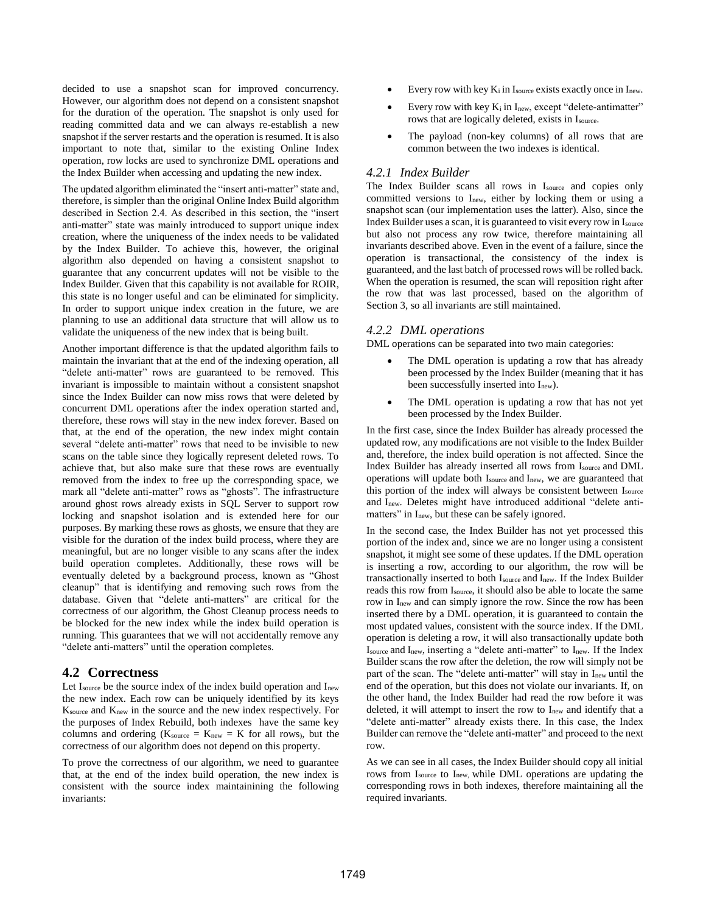decided to use a snapshot scan for improved concurrency. However, our algorithm does not depend on a consistent snapshot for the duration of the operation. The snapshot is only used for reading committed data and we can always re-establish a new snapshot if the server restarts and the operation is resumed. It is also important to note that, similar to the existing Online Index operation, row locks are used to synchronize DML operations and the Index Builder when accessing and updating the new index.

The updated algorithm eliminated the "insert anti-matter" state and, therefore, is simpler than the original Online Index Build algorithm described in Section 2.4. As described in this section, the "insert anti-matter" state was mainly introduced to support unique index creation, where the uniqueness of the index needs to be validated by the Index Builder. To achieve this, however, the original algorithm also depended on having a consistent snapshot to guarantee that any concurrent updates will not be visible to the Index Builder. Given that this capability is not available for ROIR, this state is no longer useful and can be eliminated for simplicity. In order to support unique index creation in the future, we are planning to use an additional data structure that will allow us to validate the uniqueness of the new index that is being built.

Another important difference is that the updated algorithm fails to maintain the invariant that at the end of the indexing operation, all "delete anti-matter" rows are guaranteed to be removed. This invariant is impossible to maintain without a consistent snapshot since the Index Builder can now miss rows that were deleted by concurrent DML operations after the index operation started and, therefore, these rows will stay in the new index forever. Based on that, at the end of the operation, the new index might contain several "delete anti-matter" rows that need to be invisible to new scans on the table since they logically represent deleted rows. To achieve that, but also make sure that these rows are eventually removed from the index to free up the corresponding space, we mark all "delete anti-matter" rows as "ghosts". The infrastructure around ghost rows already exists in SQL Server to support row locking and snapshot isolation and is extended here for our purposes. By marking these rows as ghosts, we ensure that they are visible for the duration of the index build process, where they are meaningful, but are no longer visible to any scans after the index build operation completes. Additionally, these rows will be eventually deleted by a background process, known as "Ghost cleanup" that is identifying and removing such rows from the database. Given that "delete anti-matters" are critical for the correctness of our algorithm, the Ghost Cleanup process needs to be blocked for the new index while the index build operation is running. This guarantees that we will not accidentally remove any "delete anti-matters" until the operation completes.

### **4.2 Correctness**

Let Isource be the source index of the index build operation and Inew the new index. Each row can be uniquely identified by its keys Ksource and Knew in the source and the new index respectively. For the purposes of Index Rebuild, both indexes have the same key columns and ordering  $(K_{source} = K_{new} = K$  for all rows), but the correctness of our algorithm does not depend on this property.

To prove the correctness of our algorithm, we need to guarantee that, at the end of the index build operation, the new index is consistent with the source index maintainining the following invariants:

- Every row with key  $K_i$  in  $I_{source}$  exists exactly once in  $I_{new}$ .
- Every row with key  $K_i$  in  $I_{new}$ , except "delete-antimatter" rows that are logically deleted, exists in Isource.
- The payload (non-key columns) of all rows that are common between the two indexes is identical.

#### *4.2.1 Index Builder*

The Index Builder scans all rows in Isource and copies only committed versions to Inew, either by locking them or using a snapshot scan (our implementation uses the latter). Also, since the Index Builder uses a scan, it is guaranteed to visit every row in Isource but also not process any row twice, therefore maintaining all invariants described above. Even in the event of a failure, since the operation is transactional, the consistency of the index is guaranteed, and the last batch of processed rows will be rolled back. When the operation is resumed, the scan will reposition right after the row that was last processed, based on the algorithm of Section 3, so all invariants are still maintained.

#### *4.2.2 DML operations*

DML operations can be separated into two main categories:

- The DML operation is updating a row that has already been processed by the Index Builder (meaning that it has been successfully inserted into Inew).
- The DML operation is updating a row that has not yet been processed by the Index Builder.

In the first case, since the Index Builder has already processed the updated row, any modifications are not visible to the Index Builder and, therefore, the index build operation is not affected. Since the Index Builder has already inserted all rows from Isource and DML operations will update both Isource and Inew, we are guaranteed that this portion of the index will always be consistent between Isource and Inew. Deletes might have introduced additional "delete antimatters" in I<sub>new</sub>, but these can be safely ignored.

In the second case, the Index Builder has not yet processed this portion of the index and, since we are no longer using a consistent snapshot, it might see some of these updates. If the DML operation is inserting a row, according to our algorithm, the row will be transactionally inserted to both Isource and Inew. If the Index Builder reads this row from Isource, it should also be able to locate the same row in Inew and can simply ignore the row. Since the row has been inserted there by a DML operation, it is guaranteed to contain the most updated values, consistent with the source index. If the DML operation is deleting a row, it will also transactionally update both Isource and Inew, inserting a "delete anti-matter" to Inew. If the Index Builder scans the row after the deletion, the row will simply not be part of the scan. The "delete anti-matter" will stay in I<sub>new</sub> until the end of the operation, but this does not violate our invariants. If, on the other hand, the Index Builder had read the row before it was deleted, it will attempt to insert the row to Inew and identify that a "delete anti-matter" already exists there. In this case, the Index Builder can remove the "delete anti-matter" and proceed to the next row.

As we can see in all cases, the Index Builder should copy all initial rows from Isource to Inew, while DML operations are updating the corresponding rows in both indexes, therefore maintaining all the required invariants.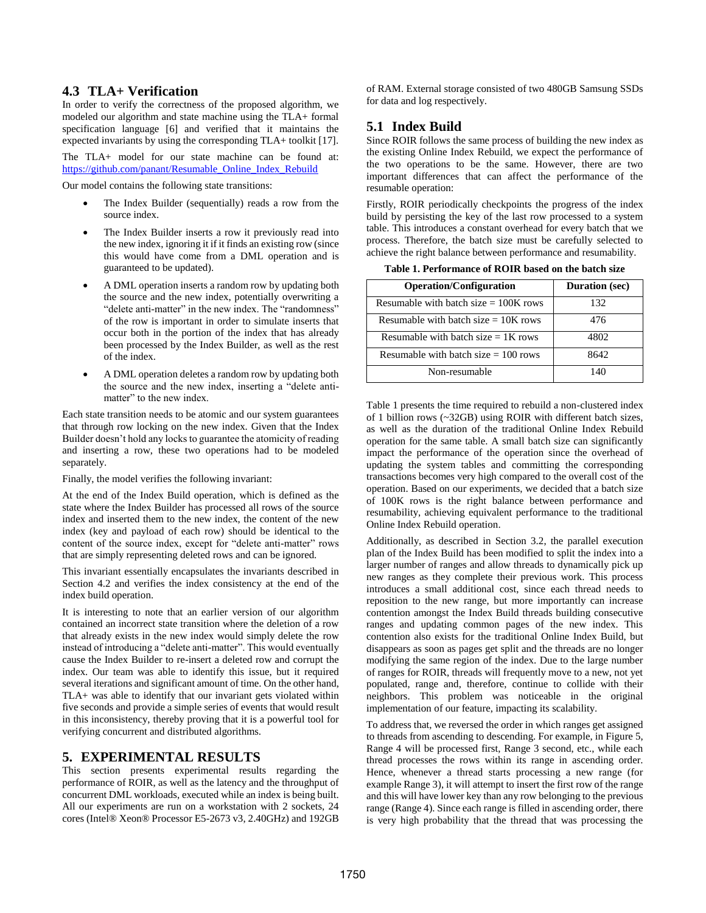### **4.3 TLA+ Verification**

In order to verify the correctness of the proposed algorithm, we modeled our algorithm and state machine using the TLA+ formal specification language [6] and verified that it maintains the expected invariants by using the corresponding TLA+ toolkit [17].

The TLA+ model for our state machine can be found at: [https://github.com/panant/Resumable\\_Online\\_Index\\_Rebuild](https://github.com/panant/Resumable_Online_Index_Rebuild)

Our model contains the following state transitions:

- The Index Builder (sequentially) reads a row from the source index.
- The Index Builder inserts a row it previously read into the new index, ignoring it if it finds an existing row (since this would have come from a DML operation and is guaranteed to be updated).
- A DML operation inserts a random row by updating both the source and the new index, potentially overwriting a "delete anti-matter" in the new index. The "randomness" of the row is important in order to simulate inserts that occur both in the portion of the index that has already been processed by the Index Builder, as well as the rest of the index.
- A DML operation deletes a random row by updating both the source and the new index, inserting a "delete antimatter" to the new index.

Each state transition needs to be atomic and our system guarantees that through row locking on the new index. Given that the Index Builder doesn't hold any locks to guarantee the atomicity of reading and inserting a row, these two operations had to be modeled separately.

Finally, the model verifies the following invariant:

At the end of the Index Build operation, which is defined as the state where the Index Builder has processed all rows of the source index and inserted them to the new index, the content of the new index (key and payload of each row) should be identical to the content of the source index, except for "delete anti-matter" rows that are simply representing deleted rows and can be ignored.

This invariant essentially encapsulates the invariants described in Section 4.2 and verifies the index consistency at the end of the index build operation.

It is interesting to note that an earlier version of our algorithm contained an incorrect state transition where the deletion of a row that already exists in the new index would simply delete the row instead of introducing a "delete anti-matter". This would eventually cause the Index Builder to re-insert a deleted row and corrupt the index. Our team was able to identify this issue, but it required several iterations and significant amount of time. On the other hand, TLA+ was able to identify that our invariant gets violated within five seconds and provide a simple series of events that would result in this inconsistency, thereby proving that it is a powerful tool for verifying concurrent and distributed algorithms.

### **5. EXPERIMENTAL RESULTS**

This section presents experimental results regarding the performance of ROIR, as well as the latency and the throughput of concurrent DML workloads, executed while an index is being built. All our experiments are run on a workstation with 2 sockets, 24 cores (Intel® Xeon® Processor E5-2673 v3, 2.40GHz) and 192GB

of RAM. External storage consisted of two 480GB Samsung SSDs for data and log respectively.

# **5.1 Index Build**

Since ROIR follows the same process of building the new index as the existing Online Index Rebuild, we expect the performance of the two operations to be the same. However, there are two important differences that can affect the performance of the resumable operation:

Firstly, ROIR periodically checkpoints the progress of the index build by persisting the key of the last row processed to a system table. This introduces a constant overhead for every batch that we process. Therefore, the batch size must be carefully selected to achieve the right balance between performance and resumability.

| <b>Operation/Configuration</b>          | <b>Duration</b> (sec) |  |  |
|-----------------------------------------|-----------------------|--|--|
| Resumable with batch size $= 100K$ rows | 132                   |  |  |
| Resumable with batch size $= 10K$ rows  | 476                   |  |  |
| Resumable with batch size $= 1K$ rows   | 4802                  |  |  |
| Resumable with batch size $= 100$ rows  | 8642                  |  |  |
| Non-resumable                           | 140                   |  |  |

**Table 1. Performance of ROIR based on the batch size**

Table 1 presents the time required to rebuild a non-clustered index of 1 billion rows (~32GB) using ROIR with different batch sizes, as well as the duration of the traditional Online Index Rebuild operation for the same table. A small batch size can significantly impact the performance of the operation since the overhead of updating the system tables and committing the corresponding transactions becomes very high compared to the overall cost of the operation. Based on our experiments, we decided that a batch size of 100K rows is the right balance between performance and resumability, achieving equivalent performance to the traditional Online Index Rebuild operation.

Additionally, as described in Section 3.2, the parallel execution plan of the Index Build has been modified to split the index into a larger number of ranges and allow threads to dynamically pick up new ranges as they complete their previous work. This process introduces a small additional cost, since each thread needs to reposition to the new range, but more importantly can increase contention amongst the Index Build threads building consecutive ranges and updating common pages of the new index. This contention also exists for the traditional Online Index Build, but disappears as soon as pages get split and the threads are no longer modifying the same region of the index. Due to the large number of ranges for ROIR, threads will frequently move to a new, not yet populated, range and, therefore, continue to collide with their neighbors. This problem was noticeable in the original implementation of our feature, impacting its scalability.

To address that, we reversed the order in which ranges get assigned to threads from ascending to descending. For example, in Figure 5, Range 4 will be processed first, Range 3 second, etc., while each thread processes the rows within its range in ascending order. Hence, whenever a thread starts processing a new range (for example Range 3), it will attempt to insert the first row of the range and this will have lower key than any row belonging to the previous range (Range 4). Since each range is filled in ascending order, there is very high probability that the thread that was processing the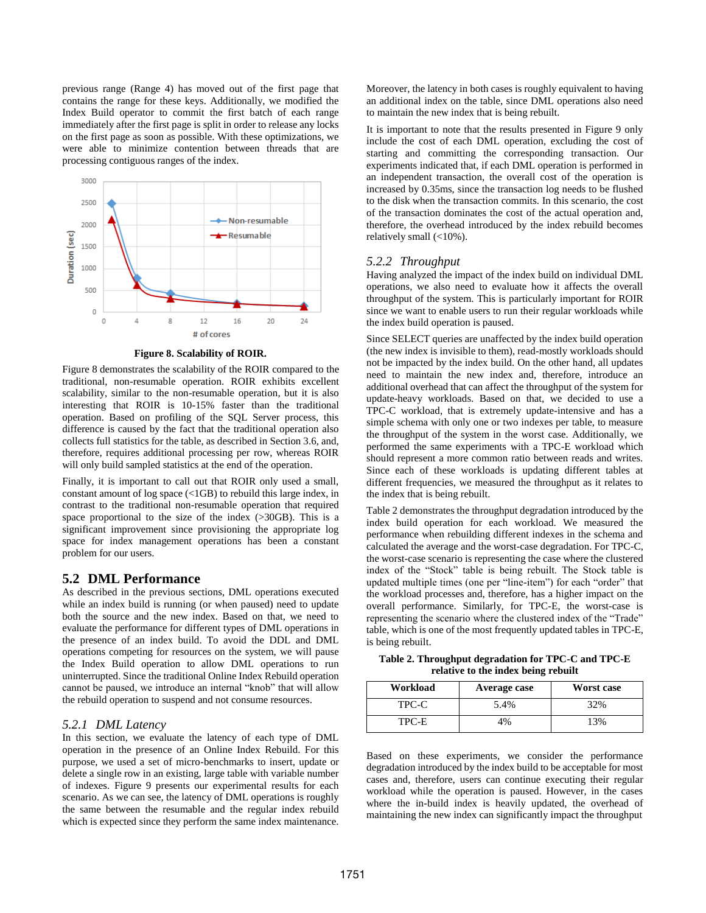previous range (Range 4) has moved out of the first page that contains the range for these keys. Additionally, we modified the Index Build operator to commit the first batch of each range immediately after the first page is split in order to release any locks on the first page as soon as possible. With these optimizations, we were able to minimize contention between threads that are processing contiguous ranges of the index.



**Figure 8. Scalability of ROIR.**

Figure 8 demonstrates the scalability of the ROIR compared to the traditional, non-resumable operation. ROIR exhibits excellent scalability, similar to the non-resumable operation, but it is also interesting that ROIR is 10-15% faster than the traditional operation. Based on profiling of the SQL Server process, this difference is caused by the fact that the traditional operation also collects full statistics for the table, as described in Section 3.6, and, therefore, requires additional processing per row, whereas ROIR will only build sampled statistics at the end of the operation.

Finally, it is important to call out that ROIR only used a small, constant amount of log space (<1GB) to rebuild this large index, in contrast to the traditional non-resumable operation that required space proportional to the size of the index (>30GB). This is a significant improvement since provisioning the appropriate log space for index management operations has been a constant problem for our users.

### **5.2 DML Performance**

As described in the previous sections, DML operations executed while an index build is running (or when paused) need to update both the source and the new index. Based on that, we need to evaluate the performance for different types of DML operations in the presence of an index build. To avoid the DDL and DML operations competing for resources on the system, we will pause the Index Build operation to allow DML operations to run uninterrupted. Since the traditional Online Index Rebuild operation cannot be paused, we introduce an internal "knob" that will allow the rebuild operation to suspend and not consume resources.

#### *5.2.1 DML Latency*

In this section, we evaluate the latency of each type of DML operation in the presence of an Online Index Rebuild. For this purpose, we used a set of micro-benchmarks to insert, update or delete a single row in an existing, large table with variable number of indexes. Figure 9 presents our experimental results for each scenario. As we can see, the latency of DML operations is roughly the same between the resumable and the regular index rebuild which is expected since they perform the same index maintenance.

Moreover, the latency in both cases is roughly equivalent to having an additional index on the table, since DML operations also need to maintain the new index that is being rebuilt.

It is important to note that the results presented in Figure 9 only include the cost of each DML operation, excluding the cost of starting and committing the corresponding transaction. Our experiments indicated that, if each DML operation is performed in an independent transaction, the overall cost of the operation is increased by 0.35ms, since the transaction log needs to be flushed to the disk when the transaction commits. In this scenario, the cost of the transaction dominates the cost of the actual operation and, therefore, the overhead introduced by the index rebuild becomes relatively small (<10%).

#### *5.2.2 Throughput*

Having analyzed the impact of the index build on individual DML operations, we also need to evaluate how it affects the overall throughput of the system. This is particularly important for ROIR since we want to enable users to run their regular workloads while the index build operation is paused.

Since SELECT queries are unaffected by the index build operation (the new index is invisible to them), read-mostly workloads should not be impacted by the index build. On the other hand, all updates need to maintain the new index and, therefore, introduce an additional overhead that can affect the throughput of the system for update-heavy workloads. Based on that, we decided to use a TPC-C workload, that is extremely update-intensive and has a simple schema with only one or two indexes per table, to measure the throughput of the system in the worst case. Additionally, we performed the same experiments with a TPC-E workload which should represent a more common ratio between reads and writes. Since each of these workloads is updating different tables at different frequencies, we measured the throughput as it relates to the index that is being rebuilt.

Table 2 demonstrates the throughput degradation introduced by the index build operation for each workload. We measured the performance when rebuilding different indexes in the schema and calculated the average and the worst-case degradation. For TPC-C, the worst-case scenario is representing the case where the clustered index of the "Stock" table is being rebuilt. The Stock table is updated multiple times (one per "line-item") for each "order" that the workload processes and, therefore, has a higher impact on the overall performance. Similarly, for TPC-E, the worst-case is representing the scenario where the clustered index of the "Trade" table, which is one of the most frequently updated tables in TPC-E, is being rebuilt.

**Table 2. Throughput degradation for TPC-C and TPC-E relative to the index being rebuilt**

| Workload | Average case | Worst case |
|----------|--------------|------------|
| TPC-C    | 5.4%         | 32%        |
| TPC-E    | 4%           | 3%         |

Based on these experiments, we consider the performance degradation introduced by the index build to be acceptable for most cases and, therefore, users can continue executing their regular workload while the operation is paused. However, in the cases where the in-build index is heavily updated, the overhead of maintaining the new index can significantly impact the throughput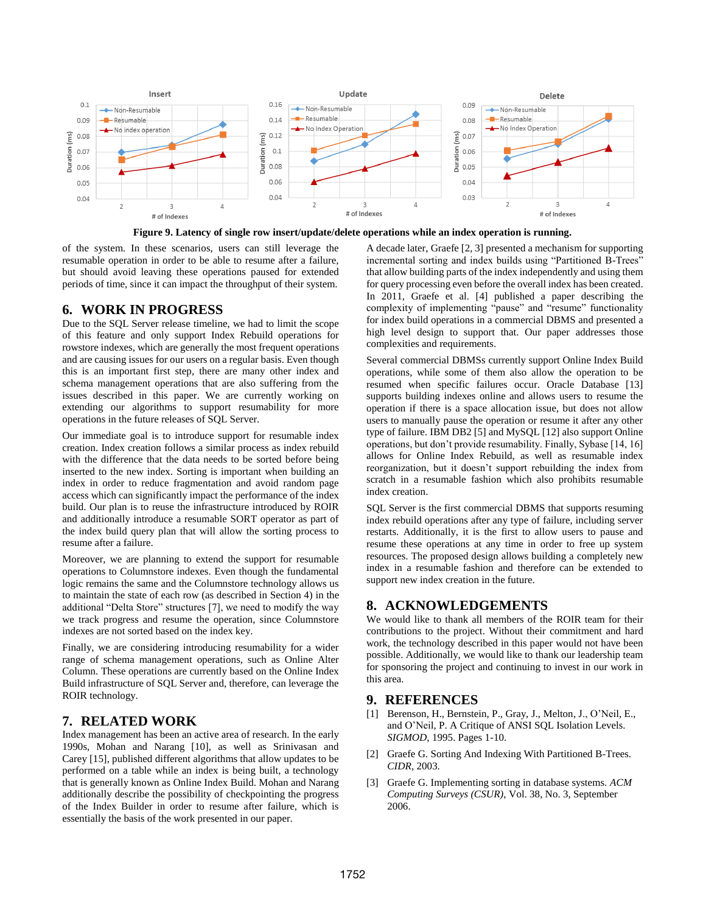

**Figure 9. Latency of single row insert/update/delete operations while an index operation is running.**

of the system. In these scenarios, users can still leverage the resumable operation in order to be able to resume after a failure, but should avoid leaving these operations paused for extended periods of time, since it can impact the throughput of their system.

### **6. WORK IN PROGRESS**

Due to the SQL Server release timeline, we had to limit the scope of this feature and only support Index Rebuild operations for rowstore indexes, which are generally the most frequent operations and are causing issues for our users on a regular basis. Even though this is an important first step, there are many other index and schema management operations that are also suffering from the issues described in this paper. We are currently working on extending our algorithms to support resumability for more operations in the future releases of SQL Server.

Our immediate goal is to introduce support for resumable index creation. Index creation follows a similar process as index rebuild with the difference that the data needs to be sorted before being inserted to the new index. Sorting is important when building an index in order to reduce fragmentation and avoid random page access which can significantly impact the performance of the index build. Our plan is to reuse the infrastructure introduced by ROIR and additionally introduce a resumable SORT operator as part of the index build query plan that will allow the sorting process to resume after a failure.

Moreover, we are planning to extend the support for resumable operations to Columnstore indexes. Even though the fundamental logic remains the same and the Columnstore technology allows us to maintain the state of each row (as described in Section 4) in the additional "Delta Store" structures [7], we need to modify the way we track progress and resume the operation, since Columnstore indexes are not sorted based on the index key.

Finally, we are considering introducing resumability for a wider range of schema management operations, such as Online Alter Column. These operations are currently based on the Online Index Build infrastructure of SQL Server and, therefore, can leverage the ROIR technology.

### **7. RELATED WORK**

Index management has been an active area of research. In the early 1990s, Mohan and Narang [10], as well as Srinivasan and Carey [15], published different algorithms that allow updates to be performed on a table while an index is being built, a technology that is generally known as Online Index Build. Mohan and Narang additionally describe the possibility of checkpointing the progress of the Index Builder in order to resume after failure, which is essentially the basis of the work presented in our paper.

A decade later, Graefe [2, 3] presented a mechanism for supporting incremental sorting and index builds using "Partitioned B-Trees" that allow building parts of the index independently and using them for query processing even before the overall index has been created. In 2011, Graefe et al. [4] published a paper describing the complexity of implementing "pause" and "resume" functionality for index build operations in a commercial DBMS and presented a high level design to support that. Our paper addresses those complexities and requirements.

Several commercial DBMSs currently support Online Index Build operations, while some of them also allow the operation to be resumed when specific failures occur. Oracle Database [13] supports building indexes online and allows users to resume the operation if there is a space allocation issue, but does not allow users to manually pause the operation or resume it after any other type of failure. IBM DB2 [5] and MySQL [12] also support Online operations, but don't provide resumability. Finally, Sybase [14, 16] allows for Online Index Rebuild, as well as resumable index reorganization, but it doesn't support rebuilding the index from scratch in a resumable fashion which also prohibits resumable index creation.

SQL Server is the first commercial DBMS that supports resuming index rebuild operations after any type of failure, including server restarts. Additionally, it is the first to allow users to pause and resume these operations at any time in order to free up system resources. The proposed design allows building a completely new index in a resumable fashion and therefore can be extended to support new index creation in the future.

### **8. ACKNOWLEDGEMENTS**

We would like to thank all members of the ROIR team for their contributions to the project. Without their commitment and hard work, the technology described in this paper would not have been possible. Additionally, we would like to thank our leadership team for sponsoring the project and continuing to invest in our work in this area.

### **9. REFERENCES**

- [1] Berenson, H., Bernstein, P., Gray, J., Melton, J., O'Neil, E., and O'Neil, P. A Critique of ANSI SQL Isolation Levels. *SIGMOD*, 1995. Pages 1-10.
- [2] Graefe G. Sorting And Indexing With Partitioned B-Trees. *CIDR,* 2003.
- [3] Graefe G. Implementing sorting in database systems. *ACM Computing Surveys (CSUR)*, Vol. 38, No. 3, September 2006.